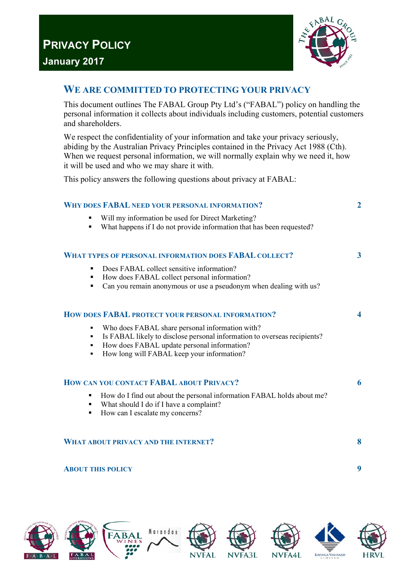

# **WE ARE COMMITTED TO PROTECTING YOUR PRIVACY**

This document outlines The FABAL Group Pty Ltd's ("FABAL") policy on handling the personal information it collects about individuals including customers, potential customers and shareholders.

We respect the confidentiality of your information and take your privacy seriously, abiding by the Australian Privacy Principles contained in the Privacy Act 1988 (Cth). When we request personal information, we will normally explain why we need it, how it will be used and who we may share it with.

This policy answers the following questions about privacy at FABAL:

| <b>WHY DOES FABAL NEED YOUR PERSONAL INFORMATION?</b>                                                                                                                                                                                        | $\overline{2}$ |
|----------------------------------------------------------------------------------------------------------------------------------------------------------------------------------------------------------------------------------------------|----------------|
| Will my information be used for Direct Marketing?<br>٠<br>What happens if I do not provide information that has been requested?<br>٠                                                                                                         |                |
| <b>WHAT TYPES OF PERSONAL INFORMATION DOES FABAL COLLECT?</b>                                                                                                                                                                                | 3              |
| Does FABAL collect sensitive information?<br>٠<br>How does FABAL collect personal information?<br>٠<br>Can you remain anonymous or use a pseudonym when dealing with us?<br>٠                                                                |                |
| HOW DOES FABAL PROTECT YOUR PERSONAL INFORMATION?                                                                                                                                                                                            | 4              |
| Who does FABAL share personal information with?<br>٠<br>Is FABAL likely to disclose personal information to overseas recipients?<br>٠<br>How does FABAL update personal information?<br>٠<br>How long will FABAL keep your information?<br>٠ |                |
| HOW CAN YOU CONTACT FABAL ABOUT PRIVACY?                                                                                                                                                                                                     | 6              |
| How do I find out about the personal information FABAL holds about me?<br>٠<br>What should I do if I have a complaint?<br>$\blacksquare$<br>How can I escalate my concerns?<br>٠                                                             |                |
| <b>WHAT ABOUT PRIVACY AND THE INTERNET?</b>                                                                                                                                                                                                  | 8              |
| <b>ABOUT THIS POLICY</b>                                                                                                                                                                                                                     | 9              |

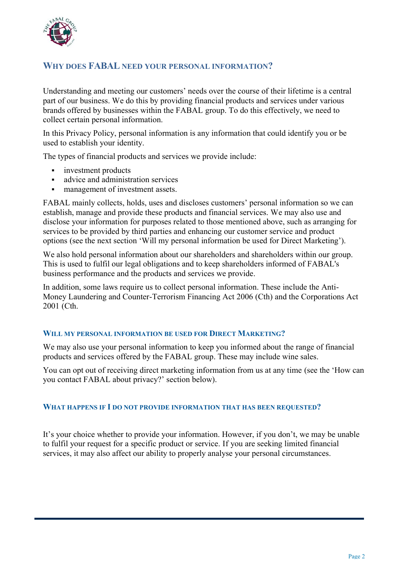

# **WHY DOES FABAL NEED YOUR PERSONAL INFORMATION?**

Understanding and meeting our customers' needs over the course of their lifetime is a central part of our business. We do this by providing financial products and services under various brands offered by businesses within the FABAL group. To do this effectively, we need to collect certain personal information.

In this Privacy Policy, personal information is any information that could identify you or be used to establish your identity.

The types of financial products and services we provide include:

- investment products
- advice and administration services
- management of investment assets.

FABAL mainly collects, holds, uses and discloses customers' personal information so we can establish, manage and provide these products and financial services. We may also use and disclose your information for purposes related to those mentioned above, such as arranging for services to be provided by third parties and enhancing our customer service and product options (see the next section 'Will my personal information be used for Direct Marketing').

We also hold personal information about our shareholders and shareholders within our group. This is used to fulfil our legal obligations and to keep shareholders informed of FABAL's business performance and the products and services we provide.

In addition, some laws require us to collect personal information. These include the Anti-Money Laundering and Counter-Terrorism Financing Act 2006 (Cth) and the Corporations Act 2001 (Cth.

# **WILL MY PERSONAL INFORMATION BE USED FOR DIRECT MARKETING?**

We may also use your personal information to keep you informed about the range of financial products and services offered by the FABAL group. These may include wine sales.

You can opt out of receiving direct marketing information from us at any time (see the 'How can you contact FABAL about privacy?' section below).

# **WHAT HAPPENS IF I DO NOT PROVIDE INFORMATION THAT HAS BEEN REQUESTED?**

It's your choice whether to provide your information. However, if you don't, we may be unable to fulfil your request for a specific product or service. If you are seeking limited financial services, it may also affect our ability to properly analyse your personal circumstances.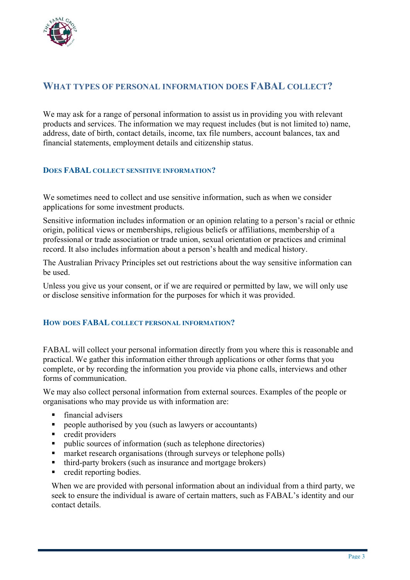

# **WHAT TYPES OF PERSONAL INFORMATION DOES FABAL COLLECT?**

We may ask for a range of personal information to assist us in providing you with relevant products and services. The information we may request includes (but is not limited to) name, address, date of birth, contact details, income, tax file numbers, account balances, tax and financial statements, employment details and citizenship status.

# **DOES FABAL COLLECT SENSITIVE INFORMATION?**

We sometimes need to collect and use sensitive information, such as when we consider applications for some investment products.

Sensitive information includes information or an opinion relating to a person's racial or ethnic origin, political views or memberships, religious beliefs or affiliations, membership of a professional or trade association or trade union, sexual orientation or practices and criminal record. It also includes information about a person's health and medical history.

The Australian Privacy Principles set out restrictions about the way sensitive information can be used.

Unless you give us your consent, or if we are required or permitted by law, we will only use or disclose sensitive information for the purposes for which it was provided.

# **HOW DOES FABAL COLLECT PERSONAL INFORMATION?**

FABAL will collect your personal information directly from you where this is reasonable and practical. We gather this information either through applications or other forms that you complete, or by recording the information you provide via phone calls, interviews and other forms of communication.

We may also collect personal information from external sources. Examples of the people or organisations who may provide us with information are:

- **financial advisers**
- people authorised by you (such as lawyers or accountants)
- **•** credit providers
- public sources of information (such as telephone directories)
- market research organisations (through surveys or telephone polls)
- third-party brokers (such as insurance and mortgage brokers)
- credit reporting bodies.

When we are provided with personal information about an individual from a third party, we seek to ensure the individual is aware of certain matters, such as FABAL's identity and our contact details.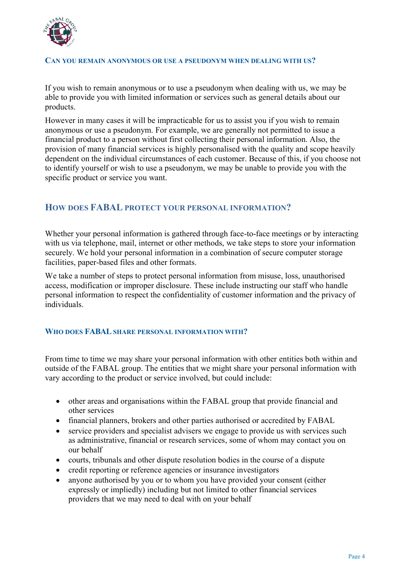

#### **CAN YOU REMAIN ANONYMOUS OR USE A PSEUDONYM WHEN DEALING WITH US?**

If you wish to remain anonymous or to use a pseudonym when dealing with us, we may be able to provide you with limited information or services such as general details about our products.

However in many cases it will be impracticable for us to assist you if you wish to remain anonymous or use a pseudonym. For example, we are generally not permitted to issue a financial product to a person without first collecting their personal information. Also, the provision of many financial services is highly personalised with the quality and scope heavily dependent on the individual circumstances of each customer. Because of this, if you choose not to identify yourself or wish to use a pseudonym, we may be unable to provide you with the specific product or service you want.

# **HOW DOES FABAL PROTECT YOUR PERSONAL INFORMATION?**

Whether your personal information is gathered through face-to-face meetings or by interacting with us via telephone, mail, internet or other methods, we take steps to store your information securely. We hold your personal information in a combination of secure computer storage facilities, paper-based files and other formats.

We take a number of steps to protect personal information from misuse, loss, unauthorised access, modification or improper disclosure. These include instructing our staff who handle personal information to respect the confidentiality of customer information and the privacy of individuals.

# **WHO DOES FABAL SHARE PERSONAL INFORMATION WITH?**

From time to time we may share your personal information with other entities both within and outside of the FABAL group. The entities that we might share your personal information with vary according to the product or service involved, but could include:

- other areas and organisations within the FABAL group that provide financial and other services
- financial planners, brokers and other parties authorised or accredited by FABAL
- $\bullet$  service providers and specialist advisers we engage to provide us with services such as administrative, financial or research services, some of whom may contact you on our behalf
- courts, tribunals and other dispute resolution bodies in the course of a dispute
- credit reporting or reference agencies or insurance investigators
- anyone authorised by you or to whom you have provided your consent (either expressly or impliedly) including but not limited to other financial services providers that we may need to deal with on your behalf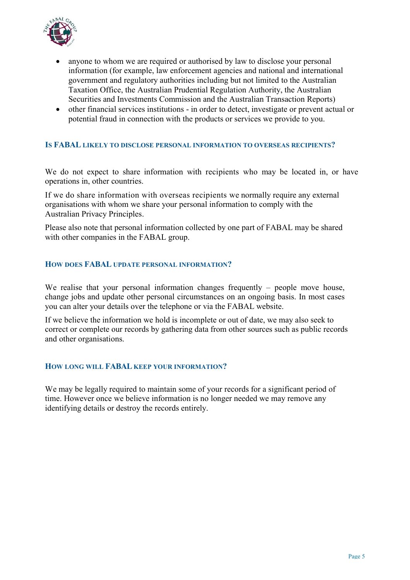

- anyone to whom we are required or authorised by law to disclose your personal information (for example, law enforcement agencies and national and international government and regulatory authorities including but not limited to the Australian Taxation Office, the Australian Prudential Regulation Authority, the Australian Securities and Investments Commission and the Australian Transaction Reports)
- other financial services institutions in order to detect, investigate or prevent actual or potential fraud in connection with the products or services we provide to you.

# **IS FABAL LIKELY TO DISCLOSE PERSONAL INFORMATION TO OVERSEAS RECIPIENTS?**

We do not expect to share information with recipients who may be located in, or have operations in, other countries.

If we do share information with overseas recipients we normally require any external organisations with whom we share your personal information to comply with the Australian Privacy Principles.

Please also note that personal information collected by one part of FABAL may be shared with other companies in the FABAL group.

#### **HOW DOES FABAL UPDATE PERSONAL INFORMATION?**

We realise that your personal information changes frequently – people move house, change jobs and update other personal circumstances on an ongoing basis. In most cases you can alter your details over the telephone or via the FABAL website.

If we believe the information we hold is incomplete or out of date, we may also seek to correct or complete our records by gathering data from other sources such as public records and other organisations.

#### **HOW LONG WILL FABAL KEEP YOUR INFORMATION?**

We may be legally required to maintain some of your records for a significant period of time. However once we believe information is no longer needed we may remove any identifying details or destroy the records entirely.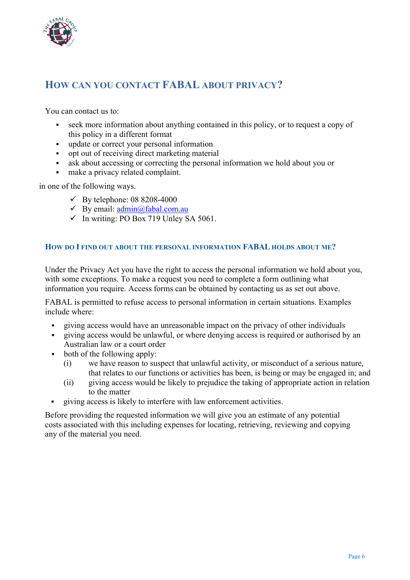

# **HOW CAN YOU CONTACT FABAL ABOUT PRIVACY?**

You can contact us to:

- seek more information about anything contained in this policy, or to request a copy of this policy in a different format
- update or correct your personal information
- opt out of receiving direct marketing material
- ask about accessing or correcting the personal information we hold about you or
- make a privacy related complaint.

in one of the following ways.

- $\checkmark$  By telephone: 08 8208-4000
- $\checkmark$  By email: admin@fabal.com.au
- $\checkmark$  In writing: PO Box 719 Unley SA 5061.

# **HOW DO I FIND OUT ABOUT THE PERSONAL INFORMATION FABAL HOLDS ABOUT ME?**

Under the Privacy Act you have the right to access the personal information we hold about you, with some exceptions. To make a request you need to complete a form outlining what information you require. Access forms can be obtained by contacting us as set out above.

FABAL is permitted to refuse access to personal information in certain situations. Examples include where:

- giving access would have an unreasonable impact on the privacy of other individuals
- giving access would be unlawful, or where denying access is required or authorised by an Australian law or a court order
- both of the following apply:
	- (i) we have reason to suspect that unlawful activity, or misconduct of a serious nature, that relates to our functions or activities has been, is being or may be engaged in; and
	- (ii) giving access would be likely to prejudice the taking of appropriate action in relation to the matter
- giving access is likely to interfere with law enforcement activities.

Before providing the requested information we will give you an estimate of any potential costs associated with this including expenses for locating, retrieving, reviewing and copying any of the material you need.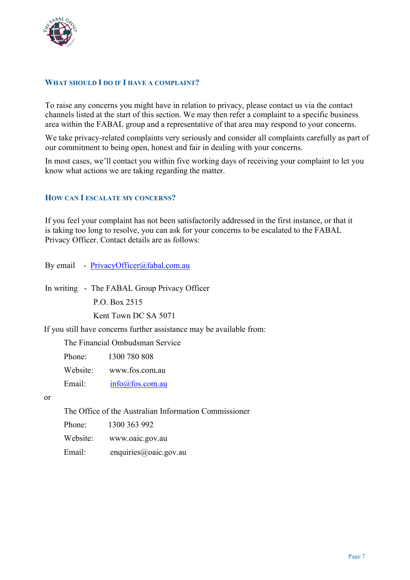

# **WHAT SHOULD I DO IF I HAVE A COMPLAINT?**

To raise any concerns you might have in relation to privacy, please contact us via the contact channels listed at the start of this section. We may then refer a complaint to a specific business area within the FABAL group and a representative of that area may respond to your concerns.

We take privacy-related complaints very seriously and consider all complaints carefully as part of our commitment to being open, honest and fair in dealing with your concerns.

In most cases, we'll contact you within five working days of receiving your complaint to let you know what actions we are taking regarding the matter.

# **HOW CAN I ESCALATE MY CONCERNS?**

If you feel your complaint has not been satisfactorily addressed in the first instance, or that it is taking too long to resolve, you can ask for your concerns to be escalated to the FABAL Privacy Officer. Contact details are as follows:

By email - PrivacyOfficer@fabal.com.au

In writing - The FABAL Group Privacy Officer

P.O. Box 2515

Kent Town DC SA 5071

If you still have concerns further assistance may be available from:

The Financial Ombudsman Service

Phone: 1300 780 808

Website: www.fos.com.au

Email: info@fos.com.au

or

The Office of the Australian Information Commissioner

Phone: 1300 363 992

Website: www.oaic.gov.au

Email: enquiries@oaic.gov.au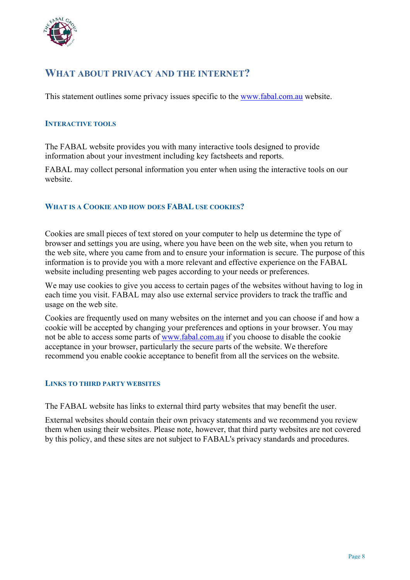

# **WHAT ABOUT PRIVACY AND THE INTERNET?**

This statement outlines some privacy issues specific to the www.fabal.com.au website.

# **INTERACTIVE TOOLS**

The FABAL website provides you with many interactive tools designed to provide information about your investment including key factsheets and reports.

FABAL may collect personal information you enter when using the interactive tools on our website.

# **WHAT IS A COOKIE AND HOW DOES FABAL USE COOKIES?**

Cookies are small pieces of text stored on your computer to help us determine the type of browser and settings you are using, where you have been on the web site, when you return to the web site, where you came from and to ensure your information is secure. The purpose of this information is to provide you with a more relevant and effective experience on the FABAL website including presenting web pages according to your needs or preferences.

We may use cookies to give you access to certain pages of the websites without having to log in each time you visit. FABAL may also use external service providers to track the traffic and usage on the web site.

Cookies are frequently used on many websites on the internet and you can choose if and how a cookie will be accepted by changing your preferences and options in your browser. You may not be able to access some parts of www.fabal.com.au if you choose to disable the cookie acceptance in your browser, particularly the secure parts of the website. We therefore recommend you enable cookie acceptance to benefit from all the services on the website.

# **LINKS TO THIRD PARTY WEBSITES**

The FABAL website has links to external third party websites that may benefit the user.

External websites should contain their own privacy statements and we recommend you review them when using their websites. Please note, however, that third party websites are not covered by this policy, and these sites are not subject to FABAL's privacy standards and procedures.